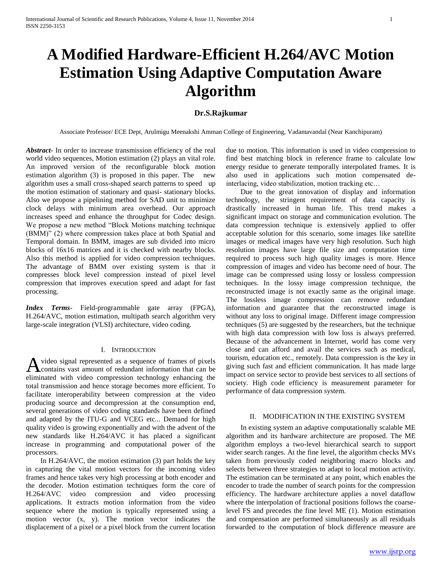# **A Modified Hardware-Efficient H.264/AVC Motion Estimation Using Adaptive Computation Aware Algorithm**

## **Dr.S.Rajkumar**

Associate Professor/ ECE Dept, Arulmigu Meenakshi Amman College of Engineering, Vadamavandal (Near Kanchipuram)

*Abstract***-** In order to increase transmission efficiency of the real world video sequences, Motion estimation (2) plays an vital role. An improved version of the reconfigurable block motion estimation algorithm (3) is proposed in this paper. The new algorithm uses a small cross-shaped search patterns to speed up the motion estimation of stationary and quasi- stationary blocks. Also we propose a pipelining method for SAD unit to minimize clock delays with minimum area overhead. Our approach increases speed and enhance the throughput for Codec design. We propose a new method "Block Motions matching technique (BMM)" (2) where compression takes place at both Spatial and Temporal domain. In BMM, images are sub divided into micro blocks of 16x16 matrices and it is checked with nearby blocks. Also this method is applied for video compression techniques. The advantage of BMM over existing system is that it compresses block level compression instead of pixel level compression that improves execution speed and adapt for fast processing.

*Index Terms*- Field-programmable gate array (FPGA), H.264/AVC, motion estimation, multipath search algorithm very large-scale integration (VLSI) architecture, video coding.

## I. INTRODUCTION

video signal represented as a sequence of frames of pixels A video signal represented as a sequence of frames of pixels<br>contains vast amount of redundant information that can be eliminated with video compression technology enhancing the total transmission and hence storage becomes more efficient. To facilitate interoperability between compression at the video producing source and decompression at the consumption end, several generations of video coding standards have been defined and adapted by the ITU-G and VCEG etc... Demand for high quality video is growing exponentially and with the advent of the new standards like H.264/AVC it has placed a significant increase in programming and computational power of the processors.

 In H.264/AVC, the motion estimation (3) part holds the key in capturing the vital motion vectors for the incoming video frames and hence takes very high processing at both encoder and the decoder. Motion estimation techniques form the core of H.264/AVC video compression and video processing applications. It extracts motion information from the video sequence where the motion is typically represented using a motion vector (x, y). The motion vector indicates the displacement of a pixel or a pixel block from the current location

due to motion. This information is used in video compression to find best matching block in reference frame to calculate low energy residue to generate temporally interpolated frames. It is also used in applications such motion compensated deinterlacing, video stabilization, motion tracking etc…

 Due to the great innovation of display and information technology, the stringent requirement of data capacity is drastically increased in human life. This trend makes a significant impact on storage and communication evolution. The data compression technique is extensively applied to offer acceptable solution for this scenario, some images like satellite images or medical images have very high resolution. Such high resolution images have large file size and computation time required to process such high quality images is more. Hence compression of images and video has become need of hour. The image can be compressed using lossy or lossless compression techniques. In the lossy image compression technique, the reconstructed image is not exactly same as the original image. The lossless image compression can remove redundant information and guarantee that the reconstructed image is without any loss to original image. Different image compression techniques (5) are suggested by the researchers, but the technique with high data compression with low loss is always preferred. Because of the advancement in Internet, world has come very close and can afford and avail the services such as medical, tourism, education etc., remotely. Data compression is the key in giving such fast and efficient communication. It has made large impact on service sector to provide best services to all sections of society. High code efficiency is measurement parameter for performance of data compression system.

## II. MODIFICATION IN THE EXISTING SYSTEM

 In existing system an adaptive computationally scalable ME algorithm and its hardware architecture are proposed. The ME algorithm employs a two-level hierarchical search to support wider search ranges. At the fine level, the algorithm checks MVs taken from previously coded neighboring macro blocks and selects between three strategies to adapt to local motion activity. The estimation can be terminated at any point, which enables the encoder to trade the number of search points for the compression efficiency. The hardware architecture applies a novel dataflow where the interpolation of fractional positions follows the coarselevel FS and precedes the fine level ME (1). Motion estimation and compensation are performed simultaneously as all residuals forwarded to the computation of block difference measure are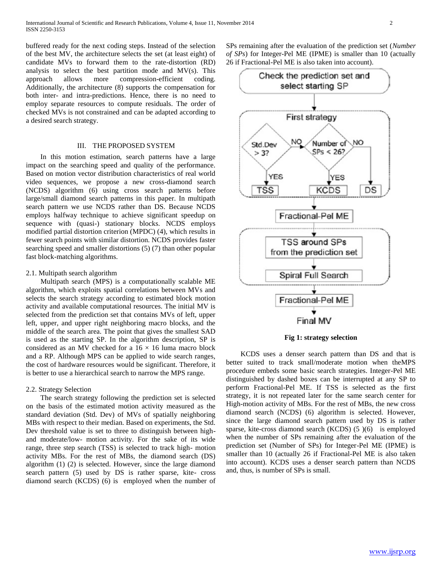buffered ready for the next coding steps. Instead of the selection of the best MV, the architecture selects the set (at least eight) of candidate MVs to forward them to the rate-distortion (RD) analysis to select the best partition mode and MV(s). This approach allows more compression-efficient coding. Additionally, the architecture (8) supports the compensation for both inter- and intra-predictions. Hence, there is no need to employ separate resources to compute residuals. The order of checked MVs is not constrained and can be adapted according to a desired search strategy.

#### III. THE PROPOSED SYSTEM

 In this motion estimation, search patterns have a large impact on the searching speed and quality of the performance. Based on motion vector distribution characteristics of real world video sequences, we propose a new cross-diamond search (NCDS) algorithm (6) using cross search patterns before large/small diamond search patterns in this paper. In multipath search pattern we use NCDS rather than DS. Because NCDS employs halfway technique to achieve significant speedup on sequence with (quasi-) stationary blocks. NCDS employs modified partial distortion criterion (MPDC) (4), which results in fewer search points with similar distortion. NCDS provides faster searching speed and smaller distortions (5) (7) than other popular fast block-matching algorithms.

## 2.1. Multipath search algorithm

 Multipath search (MPS) is a computationally scalable ME algorithm, which exploits spatial correlations between MVs and selects the search strategy according to estimated block motion activity and available computational resources. The initial MV is selected from the prediction set that contains MVs of left, upper left, upper, and upper right neighboring macro blocks, and the middle of the search area. The point that gives the smallest SAD is used as the starting SP. In the algorithm description, SP is considered as an MV checked for a  $16 \times 16$  luma macro block and a RP. Although MPS can be applied to wide search ranges, the cost of hardware resources would be significant. Therefore, it is better to use a hierarchical search to narrow the MPS range.

## 2.2. Strategy Selection

 The search strategy following the prediction set is selected on the basis of the estimated motion activity measured as the standard deviation (Std. Dev) of MVs of spatially neighboring MBs with respect to their median. Based on experiments, the Std. Dev threshold value is set to three to distinguish between highand moderate/low- motion activity. For the sake of its wide range, three step search (TSS) is selected to track high- motion activity MBs. For the rest of MBs, the diamond search (DS) algorithm (1) (2) is selected. However, since the large diamond search pattern (5) used by DS is rather sparse, kite- cross diamond search (KCDS) (6) is employed when the number of SPs remaining after the evaluation of the prediction set (*Number of SPs*) for Integer-Pel ME (IPME) is smaller than 10 (actually 26 if Fractional-Pel ME is also taken into account).



 KCDS uses a denser search pattern than DS and that is better suited to track small/moderate motion when theMPS procedure embeds some basic search strategies. Integer-Pel ME distinguished by dashed boxes can be interrupted at any SP to perform Fractional-Pel ME. If TSS is selected as the first strategy, it is not repeated later for the same search center for High-motion activity of MBs. For the rest of MBs, the new cross diamond search (NCDS) (6) algorithm is selected. However, since the large diamond search pattern used by DS is rather sparse, kite-cross diamond search (KCDS) (5 )(6) is employed when the number of SPs remaining after the evaluation of the prediction set (Number of SPs) for Integer-Pel ME (IPME) is smaller than 10 (actually 26 if Fractional-Pel ME is also taken into account). KCDS uses a denser search pattern than NCDS

and, thus, is number of SPs is small.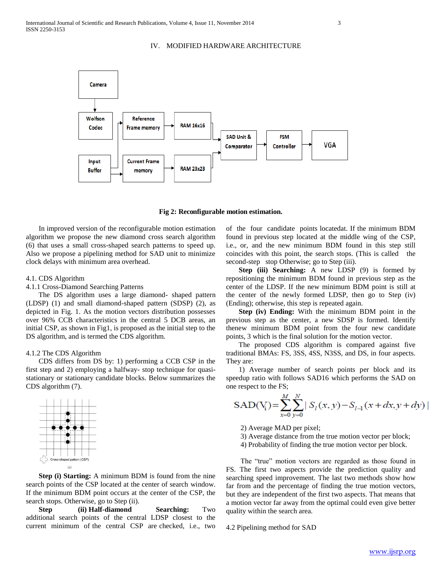

#### IV. MODIFIED HARDWARE ARCHITECTURE



 In improved version of the reconfigurable motion estimation algorithm we propose the new diamond cross search algorithm (6) that uses a small cross-shaped search patterns to speed up. Also we propose a pipelining method for SAD unit to minimize clock delays with minimum area overhead.

#### 4.1. CDS Algorithm

#### 4.1.1 Cross-Diamond Searching Patterns

 The DS algorithm uses a large diamond- shaped pattern (LDSP) (1) and small diamond-shaped pattern (SDSP) (2), as depicted in Fig. 1. As the motion vectors distribution possesses over 96% CCB characteristics in the central 5 DCB areas, an initial CSP, as shown in Fig1, is proposed as the initial step to the DS algorithm, and is termed the CDS algorithm.

#### 4.1.2 The CDS Algorithm

 CDS differs from DS by: 1) performing a CCB CSP in the first step and 2) employing a halfway- stop technique for quasistationary or stationary candidate blocks. Below summarizes the CDS algorithm (7).



 **Step (i) Starting:** A minimum BDM is found from the nine search points of the CSP located at the center of search window. If the minimum BDM point occurs at the center of the CSP, the search stops. Otherwise, go to Step (ii).

 **Step (ii) Half-diamond Searching:** Two additional search points of the central LDSP closest to the current minimum of the central CSP are checked, i.e., two of the four candidate points locatedat. If the minimum BDM found in previous step located at the middle wing of the CSP, i.e., or, and the new minimum BDM found in this step still coincides with this point, the search stops. (This is called the second-step stop Otherwise; go to Step (iii).

 **Step (iii) Searching:** A new LDSP (9) is formed by repositioning the minimum BDM found in previous step as the center of the LDSP. If the new minimum BDM point is still at the center of the newly formed LDSP, then go to Step (iv) (Ending); otherwise, this step is repeated again.

 **Step (iv) Ending:** With the minimum BDM point in the previous step as the center, a new SDSP is formed. Identify thenew minimum BDM point from the four new candidate points, 3 which is the final solution for the motion vector.

 The proposed CDS algorithm is compared against five traditional BMAs: FS, 3SS, 4SS, N3SS, and DS, in four aspects. They are:

 1) Average number of search points per block and its speedup ratio with follows SAD16 which performs the SAD on one respect to the FS;

$$
SAD(V_i) = \sum_{x=0}^{M} \sum_{y=0}^{N} |S_i(x, y) - S_{i-1}(x + dx, y + dy)|
$$

2) Average MAD per pixel;

- 3) Average distance from the true motion vector per block;
- 4) Probability of finding the true motion vector per block.

 The "true" motion vectors are regarded as those found in FS. The first two aspects provide the prediction quality and searching speed improvement. The last two methods show how far from and the percentage of finding the true motion vectors, but they are independent of the first two aspects. That means that a motion vector far away from the optimal could even give better quality within the search area.

4.2 Pipelining method for SAD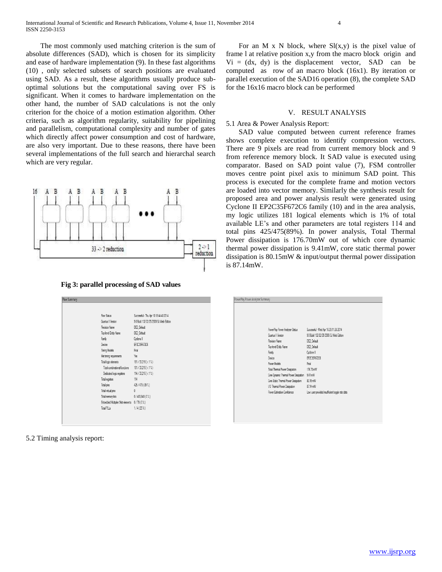The most commonly used matching criterion is the sum of absolute differences (SAD), which is chosen for its simplicity and ease of hardware implementation (9). In these fast algorithms (10) , only selected subsets of search positions are evaluated using SAD. As a result, these algorithms usually produce suboptimal solutions but the computational saving over FS is significant. When it comes to hardware implementation on the other hand, the number of SAD calculations is not the only criterion for the choice of a motion estimation algorithm. Other criteria, such as algorithm regularity, suitability for pipelining and parallelism, computational complexity and number of gates which directly affect power consumption and cost of hardware, are also very important. Due to these reasons, there have been several implementations of the full search and hierarchal search which are very regular.



**Fig 3: parallel processing of SAD values**

| Flow Status                                  | Successful - Thu Apr 10 18:44:48 2014   |
|----------------------------------------------|-----------------------------------------|
| Quartus II Version                           | 9.0 Build 132 02/25/2009 SJ Web Edition |
| Revision Name                                | DE2 Default                             |
| Top-level Entity Name                        | DE2_Default                             |
| Family                                       | Cyclone II                              |
| Device                                       | EP2C35F672C6                            |
| Timing Models                                | Final                                   |
| Met timing requirements                      | Yes                                     |
| Total logic elements                         | $181/33,216 (< 1\%)$                    |
| Total combinational functions                | $181/33.216(<1\%)$                      |
| Dedicated logic registers                    | $114/33,216(<1\%)$                      |
| Total registers                              | 114                                     |
| Total pins                                   | 425 / 475 (89 %)                        |
| Total virtual pins                           | 0                                       |
| Total memory bits                            | $0/483,840(0\%)$                        |
| Embedded Multiplier 9-bit elements 0/70 (0%) |                                         |
| Total PLLs                                   | $1/4(25\%)$                             |

5.2 Timing analysis report:

For an M x N block, where  $Sl(x,y)$  is the pixel value of frame l at relative position x,y from the macro block origin and  $Vi = (dx, dy)$  is the displacement vector, SAD can be computed as row of an macro block (16x1). By iteration or parallel execution of the SAD16 operation (8), the complete SAD for the 16x16 macro block can be performed

#### V. RESULT ANALYSIS

## 5.1 Area & Power Analysis Report:

 SAD value computed between current reference frames shows complete execution to identify compression vectors. There are 9 pixels are read from current memory block and 9 from reference memory block. It SAD value is executed using comparator. Based on SAD point value (7), FSM controller moves centre point pixel axis to minimum SAD point. This process is executed for the complete frame and motion vectors are loaded into vector memory. Similarly the synthesis result for proposed area and power analysis result were generated using Cyclone II EP2C35F672C6 family (10) and in the area analysis, my logic utilizes 181 logical elements which is 1% of total available LE's and other parameters are total registers 114 and total pins 425/475(89%). In power analysis, Total Thermal Power dissipation is 176.70mW out of which core dynamic thermal power dissipation is 9.41mW, core static thermal power dissipation is 80.15mW & input/output thermal power dissipation is 87.14mW.

| PowerPlay Power Analyzer Status                | Successful - Wed Apr 16 20:11:26 2014            |  |
|------------------------------------------------|--------------------------------------------------|--|
| Quartus II Version                             | 9.0 Build 132 02/25/2009 SJ Web Edition          |  |
| Revision Name                                  | DE2 Default                                      |  |
| Top-level Entity Name                          | DE2 Default                                      |  |
| Family                                         | Cyclone II                                       |  |
| Device                                         | EP2C35F672C6                                     |  |
| Power Models                                   | Final                                            |  |
| <b>Total Themal Power Dissipation</b>          | 176.70 mW                                        |  |
| Core Dynamic Thermal Power Dissipation 9.41 mW |                                                  |  |
| Core Static Thermal Power Dissipation          | $80.15 \text{ mW}$                               |  |
| <b>VO Thermal Power Dissipation</b>            | $87.14 \text{ mW}$                               |  |
| Power Estimation Confidence                    | Low: user provided insufficient toggle rate data |  |
|                                                |                                                  |  |